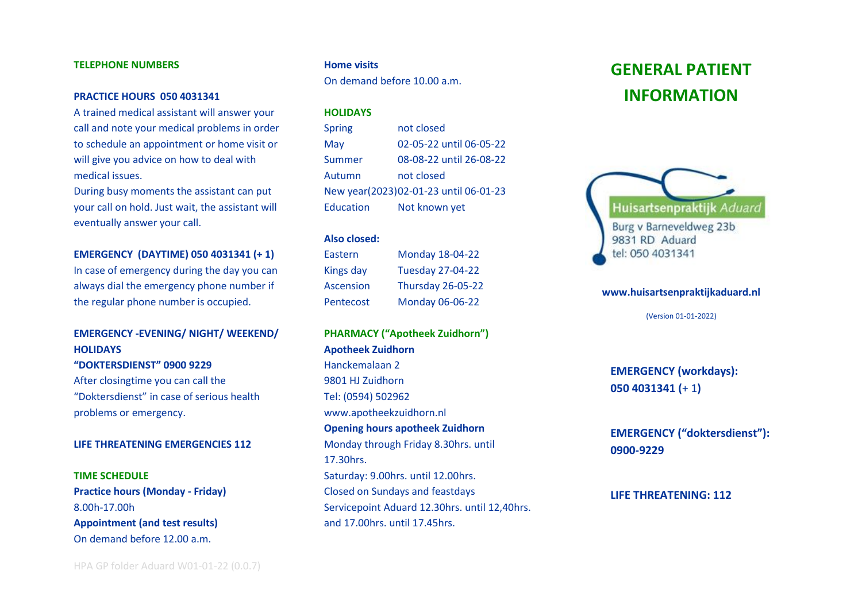#### **TELEPHONE NUMBERS**

#### **PRACTICE HOURS 050 4031341**

A trained medical assistant will answer your call and note your medical problems in order to schedule an appointment or home visit or will give you advice on how to deal with medical issues.

During busy moments the assistant can put your call on hold. Just wait, the assistant will eventually answer your call.

#### **EMERGENCY (DAYTIME) 050 4031341 (+ 1)**

In case of emergency during the day you can always dial the emergency phone number if the regular phone number is occupied.

# **EMERGENCY -EVENING/ NIGHT/ WEEKEND/ HOLIDAYS**

### **"DOKTERSDIENST" 0900 9229**

After closingtime you can call the "Doktersdienst" in case of serious health problems or emergency.

#### **LIFE THREATENING EMERGENCIES 112**

# **TIME SCHEDULE Practice hours (Monday - Friday)** 8.00h-17.00h **Appointment (and test results)** On demand before 12.00 a.m.

#### **Home visits**

On demand before 10.00 a.m.

#### **HOLIDAYS**

| <b>Spring</b> | not closed                            |
|---------------|---------------------------------------|
| May           | 02-05-22 until 06-05-22               |
| Summer        | 08-08-22 until 26-08-22               |
| Autumn        | not closed                            |
|               | New year(2023)02-01-23 until 06-01-23 |
| Education     | Not known yet                         |

#### **Also closed:**

| Eastern          | <b>Monday 18-04-22</b>   |
|------------------|--------------------------|
| <b>Kings day</b> | <b>Tuesday 27-04-22</b>  |
| <b>Ascension</b> | <b>Thursday 26-05-22</b> |
| Pentecost        | <b>Monday 06-06-22</b>   |

# **PHARMACY ("Apotheek Zuidhorn") Apotheek Zuidhorn**

Hanckemalaan 2 9801 HJ Zuidhorn Tel: (0594) 502962 www.apotheekzuidhorn.nl **Opening hours apotheek Zuidhorn** Monday through Friday 8.30hrs. until 17.30hrs. Saturday: 9.00hrs. until 12.00hrs. Closed on Sundays and feastdays Servicepoint Aduard 12.30hrs. until 12,40hrs. and 17.00hrs. until 17.45hrs.

# **GENERAL PATIENT INFORMATION**



#### **www.huisartsenpraktijkaduard.nl**

(Version 01-01-2022)

**EMERGENCY (workdays): 050 4031341 (**+ 1**)**

**EMERGENCY ("doktersdienst"): 0900-9229**

#### **LIFE THREATENING: 112**